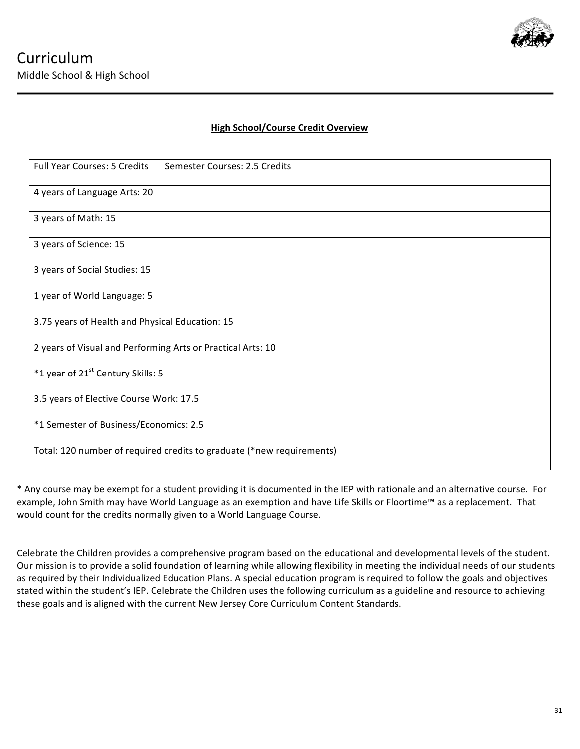

# **High School/Course Credit Overview**

| <b>Full Year Courses: 5 Credits</b><br>Semester Courses: 2.5 Credits  |
|-----------------------------------------------------------------------|
|                                                                       |
| 4 years of Language Arts: 20                                          |
|                                                                       |
| 3 years of Math: 15                                                   |
|                                                                       |
| 3 years of Science: 15                                                |
|                                                                       |
|                                                                       |
| 3 years of Social Studies: 15                                         |
|                                                                       |
|                                                                       |
| 1 year of World Language: 5                                           |
|                                                                       |
|                                                                       |
| 3.75 years of Health and Physical Education: 15                       |
|                                                                       |
| 2 years of Visual and Performing Arts or Practical Arts: 10           |
|                                                                       |
|                                                                       |
| *1 year of 21 <sup>st</sup> Century Skills: 5                         |
|                                                                       |
|                                                                       |
| 3.5 years of Elective Course Work: 17.5                               |
|                                                                       |
| *1 Semester of Business/Economics: 2.5                                |
|                                                                       |
|                                                                       |
| Total: 120 number of required credits to graduate (*new requirements) |
|                                                                       |
|                                                                       |

\* Any course may be exempt for a student providing it is documented in the IEP with rationale and an alternative course. For example, John Smith may have World Language as an exemption and have Life Skills or Floortime™ as a replacement. That would count for the credits normally given to a World Language Course.

Celebrate the Children provides a comprehensive program based on the educational and developmental levels of the student. Our mission is to provide a solid foundation of learning while allowing flexibility in meeting the individual needs of our students as required by their Individualized Education Plans. A special education program is required to follow the goals and objectives stated within the student's IEP. Celebrate the Children uses the following curriculum as a guideline and resource to achieving these goals and is aligned with the current New Jersey Core Curriculum Content Standards.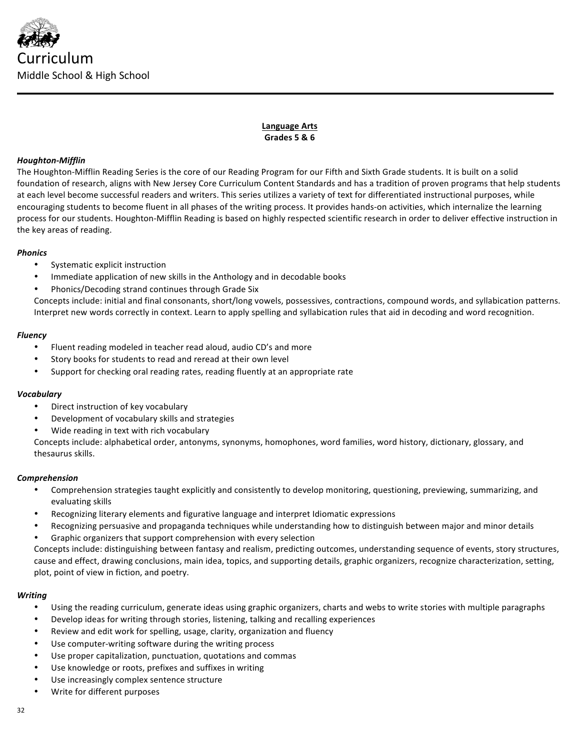

**Language Arts Grades 5 & 6**

## *Houghton-Mifflin*

The Houghton-Mifflin Reading Series is the core of our Reading Program for our Fifth and Sixth Grade students. It is built on a solid foundation of research, aligns with New Jersey Core Curriculum Content Standards and has a tradition of proven programs that help students at each level become successful readers and writers. This series utilizes a variety of text for differentiated instructional purposes, while encouraging students to become fluent in all phases of the writing process. It provides hands-on activities, which internalize the learning process for our students. Houghton-Mifflin Reading is based on highly respected scientific research in order to deliver effective instruction in the key areas of reading.

## *Phonics*

- Systematic explicit instruction
- Immediate application of new skills in the Anthology and in decodable books
- Phonics/Decoding strand continues through Grade Six

Concepts include: initial and final consonants, short/long vowels, possessives, contractions, compound words, and syllabication patterns. Interpret new words correctly in context. Learn to apply spelling and syllabication rules that aid in decoding and word recognition.

## *Fluency*

- Fluent reading modeled in teacher read aloud, audio CD's and more
- Story books for students to read and reread at their own level
- Support for checking oral reading rates, reading fluently at an appropriate rate

## *Vocabulary*

- Direct instruction of key vocabulary
- Development of vocabulary skills and strategies
- Wide reading in text with rich vocabulary

Concepts include: alphabetical order, antonyms, synonyms, homophones, word families, word history, dictionary, glossary, and thesaurus skills.

## *Comprehension*

- Comprehension strategies taught explicitly and consistently to develop monitoring, questioning, previewing, summarizing, and evaluating skills
- Recognizing literary elements and figurative language and interpret Idiomatic expressions
- Recognizing persuasive and propaganda techniques while understanding how to distinguish between major and minor details
- Graphic organizers that support comprehension with every selection

Concepts include: distinguishing between fantasy and realism, predicting outcomes, understanding sequence of events, story structures, cause and effect, drawing conclusions, main idea, topics, and supporting details, graphic organizers, recognize characterization, setting, plot, point of view in fiction, and poetry.

## *Writing*

- Using the reading curriculum, generate ideas using graphic organizers, charts and webs to write stories with multiple paragraphs
- Develop ideas for writing through stories, listening, talking and recalling experiences
- Review and edit work for spelling, usage, clarity, organization and fluency
- Use computer-writing software during the writing process
- Use proper capitalization, punctuation, quotations and commas
- Use knowledge or roots, prefixes and suffixes in writing
- Use increasingly complex sentence structure
- Write for different purposes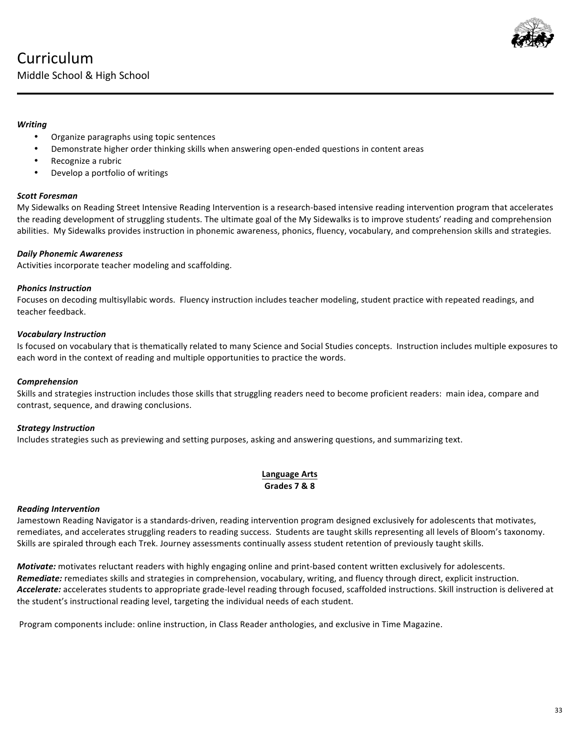

### *Writing*

- Organize paragraphs using topic sentences
- Demonstrate higher order thinking skills when answering open-ended questions in content areas
- Recognize a rubric
- Develop a portfolio of writings

### *Scott Foresman*

My Sidewalks on Reading Street Intensive Reading Intervention is a research-based intensive reading intervention program that accelerates the reading development of struggling students. The ultimate goal of the My Sidewalks is to improve students' reading and comprehension abilities. My Sidewalks provides instruction in phonemic awareness, phonics, fluency, vocabulary, and comprehension skills and strategies.

### *Daily Phonemic Awareness*

Activities incorporate teacher modeling and scaffolding.

### *Phonics Instruction*

Focuses on decoding multisyllabic words. Fluency instruction includes teacher modeling, student practice with repeated readings, and teacher feedback.

### *Vocabulary Instruction*

Is focused on vocabulary that is thematically related to many Science and Social Studies concepts. Instruction includes multiple exposures to each word in the context of reading and multiple opportunities to practice the words.

#### *Comprehension*

Skills and strategies instruction includes those skills that struggling readers need to become proficient readers: main idea, compare and contrast, sequence, and drawing conclusions.

#### *Strategy Instruction*

Includes strategies such as previewing and setting purposes, asking and answering questions, and summarizing text.

### **Language Arts Grades 7 & 8**

#### *Reading Intervention*

Jamestown Reading Navigator is a standards-driven, reading intervention program designed exclusively for adolescents that motivates, remediates, and accelerates struggling readers to reading success. Students are taught skills representing all levels of Bloom's taxonomy. Skills are spiraled through each Trek. Journey assessments continually assess student retention of previously taught skills.

Motivate: motivates reluctant readers with highly engaging online and print-based content written exclusively for adolescents. Remediate: remediates skills and strategies in comprehension, vocabulary, writing, and fluency through direct, explicit instruction. Accelerate: accelerates students to appropriate grade-level reading through focused, scaffolded instructions. Skill instruction is delivered at the student's instructional reading level, targeting the individual needs of each student.

Program components include: online instruction, in Class Reader anthologies, and exclusive in Time Magazine.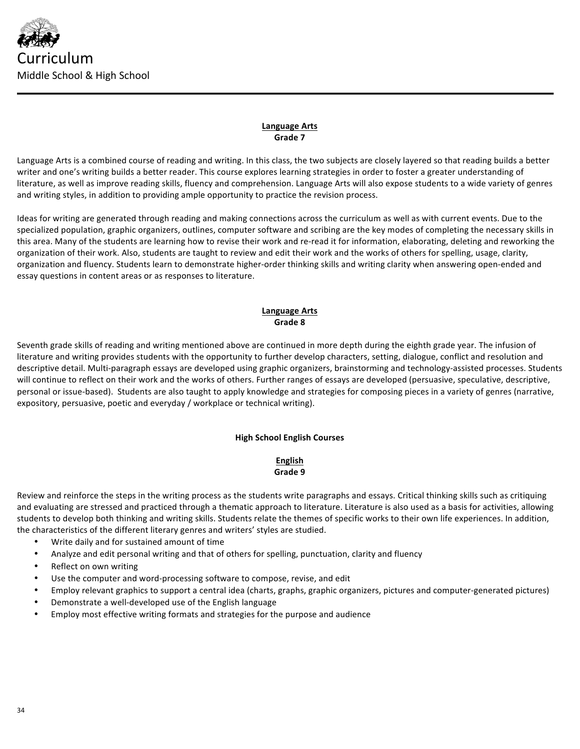

## **Language Arts Grade 7**

Language Arts is a combined course of reading and writing. In this class, the two subjects are closely layered so that reading builds a better writer and one's writing builds a better reader. This course explores learning strategies in order to foster a greater understanding of literature, as well as improve reading skills, fluency and comprehension. Language Arts will also expose students to a wide variety of genres and writing styles, in addition to providing ample opportunity to practice the revision process.

Ideas for writing are generated through reading and making connections across the curriculum as well as with current events. Due to the specialized population, graphic organizers, outlines, computer software and scribing are the key modes of completing the necessary skills in this area. Many of the students are learning how to revise their work and re-read it for information, elaborating, deleting and reworking the organization of their work. Also, students are taught to review and edit their work and the works of others for spelling, usage, clarity, organization and fluency. Students learn to demonstrate higher-order thinking skills and writing clarity when answering open-ended and essay questions in content areas or as responses to literature.

### **Language Arts Grade 8**

Seventh grade skills of reading and writing mentioned above are continued in more depth during the eighth grade year. The infusion of literature and writing provides students with the opportunity to further develop characters, setting, dialogue, conflict and resolution and descriptive detail. Multi-paragraph essays are developed using graphic organizers, brainstorming and technology-assisted processes. Students will continue to reflect on their work and the works of others. Further ranges of essays are developed (persuasive, speculative, descriptive, personal or issue-based). Students are also taught to apply knowledge and strategies for composing pieces in a variety of genres (narrative, expository, persuasive, poetic and everyday / workplace or technical writing).

# **High School English Courses**

## **English Grade 9**

Review and reinforce the steps in the writing process as the students write paragraphs and essays. Critical thinking skills such as critiquing and evaluating are stressed and practiced through a thematic approach to literature. Literature is also used as a basis for activities, allowing students to develop both thinking and writing skills. Students relate the themes of specific works to their own life experiences. In addition, the characteristics of the different literary genres and writers' styles are studied.

- Write daily and for sustained amount of time
- Analyze and edit personal writing and that of others for spelling, punctuation, clarity and fluency
- Reflect on own writing
- Use the computer and word-processing software to compose, revise, and edit
- Employ relevant graphics to support a central idea (charts, graphs, graphic organizers, pictures and computer-generated pictures)
- Demonstrate a well-developed use of the English language
- Employ most effective writing formats and strategies for the purpose and audience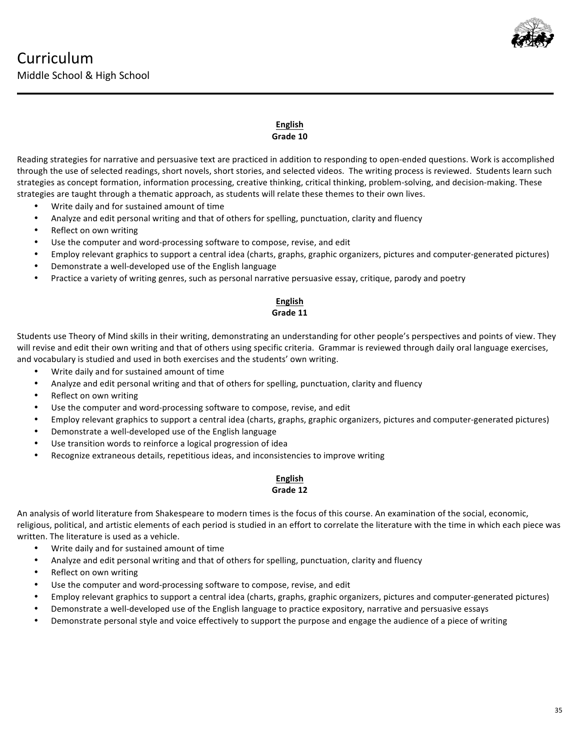

## **English** Grade 10

Reading strategies for narrative and persuasive text are practiced in addition to responding to open-ended questions. Work is accomplished through the use of selected readings, short novels, short stories, and selected videos. The writing process is reviewed. Students learn such strategies as concept formation, information processing, creative thinking, critical thinking, problem-solving, and decision-making. These strategies are taught through a thematic approach, as students will relate these themes to their own lives.

- Write daily and for sustained amount of time
- Analyze and edit personal writing and that of others for spelling, punctuation, clarity and fluency
- Reflect on own writing
- Use the computer and word-processing software to compose, revise, and edit
- Employ relevant graphics to support a central idea (charts, graphs, graphic organizers, pictures and computer-generated pictures)
- Demonstrate a well-developed use of the English language
- Practice a variety of writing genres, such as personal narrative persuasive essay, critique, parody and poetry

#### **English** Grade 11

Students use Theory of Mind skills in their writing, demonstrating an understanding for other people's perspectives and points of view. They will revise and edit their own writing and that of others using specific criteria. Grammar is reviewed through daily oral language exercises, and vocabulary is studied and used in both exercises and the students' own writing.

- Write daily and for sustained amount of time
- Analyze and edit personal writing and that of others for spelling, punctuation, clarity and fluency
- Reflect on own writing
- Use the computer and word-processing software to compose, revise, and edit
- Employ relevant graphics to support a central idea (charts, graphs, graphic organizers, pictures and computer-generated pictures)
- Demonstrate a well-developed use of the English language
- Use transition words to reinforce a logical progression of idea
- Recognize extraneous details, repetitious ideas, and inconsistencies to improve writing

## **English** Grade 12

An analysis of world literature from Shakespeare to modern times is the focus of this course. An examination of the social, economic, religious, political, and artistic elements of each period is studied in an effort to correlate the literature with the time in which each piece was written. The literature is used as a vehicle.

- Write daily and for sustained amount of time
- Analyze and edit personal writing and that of others for spelling, punctuation, clarity and fluency
- Reflect on own writing
- Use the computer and word-processing software to compose, revise, and edit
- Employ relevant graphics to support a central idea (charts, graphs, graphic organizers, pictures and computer-generated pictures)
- Demonstrate a well-developed use of the English language to practice expository, narrative and persuasive essays
- Demonstrate personal style and voice effectively to support the purpose and engage the audience of a piece of writing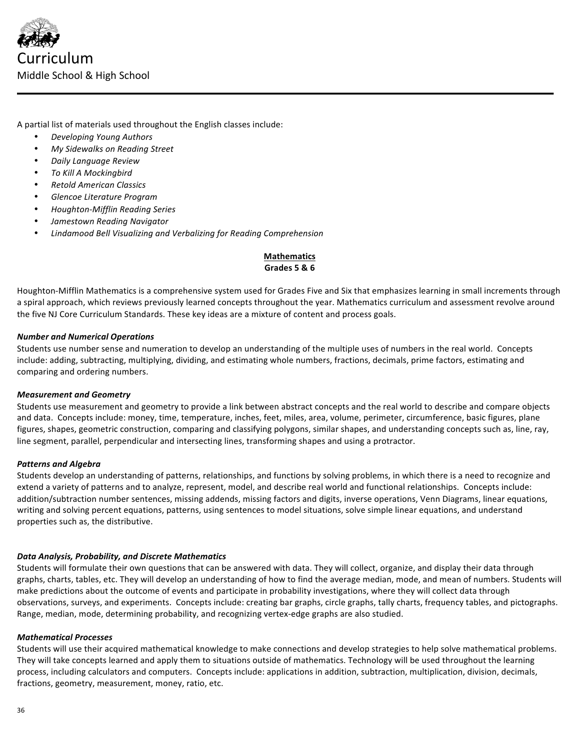

A partial list of materials used throughout the English classes include:

- *Developing Young Authors*
- *My Sidewalks on Reading Street*
- *Daily Language Review*
- *To Kill A Mockingbird*
- *Retold American Classics*
- *Glencoe Literature Program*
- *Houghton-Mifflin Reading Series*
- *Jamestown Reading Navigator*
- *Lindamood Bell Visualizing and Verbalizing for Reading Comprehension*

# **Mathematics Grades 5 & 6**

Houghton-Mifflin Mathematics is a comprehensive system used for Grades Five and Six that emphasizes learning in small increments through a spiral approach, which reviews previously learned concepts throughout the year. Mathematics curriculum and assessment revolve around the five NJ Core Curriculum Standards. These key ideas are a mixture of content and process goals.

#### *Number and Numerical Operations*

Students use number sense and numeration to develop an understanding of the multiple uses of numbers in the real world. Concepts include: adding, subtracting, multiplying, dividing, and estimating whole numbers, fractions, decimals, prime factors, estimating and comparing and ordering numbers.

#### *Measurement and Geometry*

Students use measurement and geometry to provide a link between abstract concepts and the real world to describe and compare objects and data. Concepts include: money, time, temperature, inches, feet, miles, area, volume, perimeter, circumference, basic figures, plane figures, shapes, geometric construction, comparing and classifying polygons, similar shapes, and understanding concepts such as, line, ray, line segment, parallel, perpendicular and intersecting lines, transforming shapes and using a protractor.

#### *Patterns and Algebra*

Students develop an understanding of patterns, relationships, and functions by solving problems, in which there is a need to recognize and extend a variety of patterns and to analyze, represent, model, and describe real world and functional relationships. Concepts include: addition/subtraction number sentences, missing addends, missing factors and digits, inverse operations, Venn Diagrams, linear equations, writing and solving percent equations, patterns, using sentences to model situations, solve simple linear equations, and understand properties such as, the distributive.

## *Data Analysis, Probability, and Discrete Mathematics*

Students will formulate their own questions that can be answered with data. They will collect, organize, and display their data through graphs, charts, tables, etc. They will develop an understanding of how to find the average median, mode, and mean of numbers. Students will make predictions about the outcome of events and participate in probability investigations, where they will collect data through observations, surveys, and experiments. Concepts include: creating bar graphs, circle graphs, tally charts, frequency tables, and pictographs. Range, median, mode, determining probability, and recognizing vertex-edge graphs are also studied.

#### *Mathematical Processes*

Students will use their acquired mathematical knowledge to make connections and develop strategies to help solve mathematical problems. They will take concepts learned and apply them to situations outside of mathematics. Technology will be used throughout the learning process, including calculators and computers. Concepts include: applications in addition, subtraction, multiplication, division, decimals, fractions, geometry, measurement, money, ratio, etc.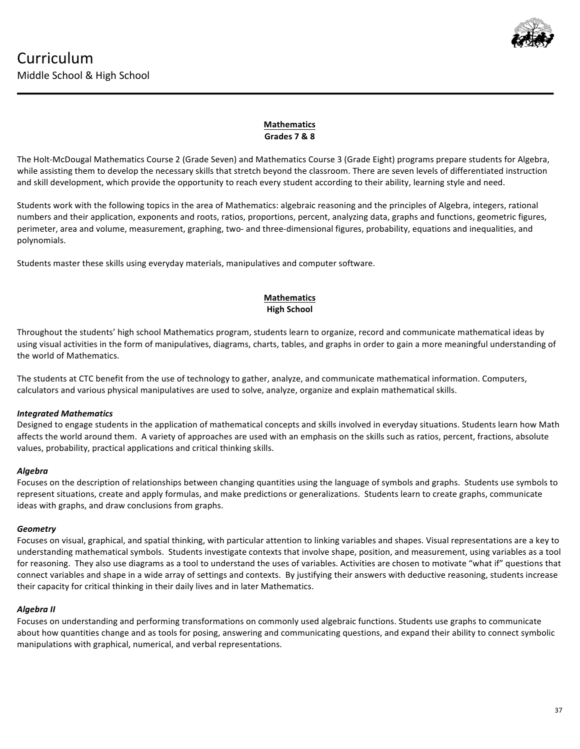

# **Mathematics Grades 7 & 8**

The Holt-McDougal Mathematics Course 2 (Grade Seven) and Mathematics Course 3 (Grade Eight) programs prepare students for Algebra, while assisting them to develop the necessary skills that stretch beyond the classroom. There are seven levels of differentiated instruction and skill development, which provide the opportunity to reach every student according to their ability, learning style and need.

Students work with the following topics in the area of Mathematics: algebraic reasoning and the principles of Algebra, integers, rational numbers and their application, exponents and roots, ratios, proportions, percent, analyzing data, graphs and functions, geometric figures, perimeter, area and volume, measurement, graphing, two- and three-dimensional figures, probability, equations and inequalities, and polynomials.

Students master these skills using everyday materials, manipulatives and computer software.

# **Mathematics High School**

Throughout the students' high school Mathematics program, students learn to organize, record and communicate mathematical ideas by using visual activities in the form of manipulatives, diagrams, charts, tables, and graphs in order to gain a more meaningful understanding of the world of Mathematics.

The students at CTC benefit from the use of technology to gather, analyze, and communicate mathematical information. Computers, calculators and various physical manipulatives are used to solve, analyze, organize and explain mathematical skills.

# *Integrated Mathematics*

Designed to engage students in the application of mathematical concepts and skills involved in everyday situations. Students learn how Math affects the world around them. A variety of approaches are used with an emphasis on the skills such as ratios, percent, fractions, absolute values, probability, practical applications and critical thinking skills.

## *Algebra*

Focuses on the description of relationships between changing quantities using the language of symbols and graphs. Students use symbols to represent situations, create and apply formulas, and make predictions or generalizations. Students learn to create graphs, communicate ideas with graphs, and draw conclusions from graphs.

## *Geometry*

Focuses on visual, graphical, and spatial thinking, with particular attention to linking variables and shapes. Visual representations are a key to understanding mathematical symbols. Students investigate contexts that involve shape, position, and measurement, using variables as a tool for reasoning. They also use diagrams as a tool to understand the uses of variables. Activities are chosen to motivate "what if" questions that connect variables and shape in a wide array of settings and contexts. By justifying their answers with deductive reasoning, students increase their capacity for critical thinking in their daily lives and in later Mathematics.

# *Algebra II*

Focuses on understanding and performing transformations on commonly used algebraic functions. Students use graphs to communicate about how quantities change and as tools for posing, answering and communicating questions, and expand their ability to connect symbolic manipulations with graphical, numerical, and verbal representations.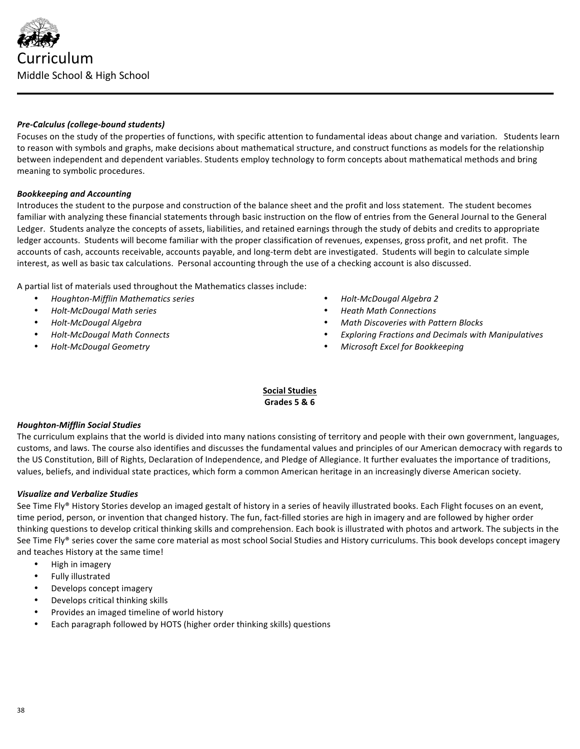

### *Pre-Calculus (college-bound students)*

Focuses on the study of the properties of functions, with specific attention to fundamental ideas about change and variation. Students learn to reason with symbols and graphs, make decisions about mathematical structure, and construct functions as models for the relationship between independent and dependent variables. Students employ technology to form concepts about mathematical methods and bring meaning to symbolic procedures.

### *Bookkeeping and Accounting*

Introduces the student to the purpose and construction of the balance sheet and the profit and loss statement. The student becomes familiar with analyzing these financial statements through basic instruction on the flow of entries from the General Journal to the General Ledger. Students analyze the concepts of assets, liabilities, and retained earnings through the study of debits and credits to appropriate ledger accounts. Students will become familiar with the proper classification of revenues, expenses, gross profit, and net profit. The accounts of cash, accounts receivable, accounts payable, and long-term debt are investigated. Students will begin to calculate simple interest, as well as basic tax calculations. Personal accounting through the use of a checking account is also discussed.

A partial list of materials used throughout the Mathematics classes include:

- *Houghton-Mifflin Mathematics series*
- *Holt-McDougal Math series*
- *Holt-McDougal Algebra*
- *Holt-McDougal Math Connects*
- *Holt-McDougal Geometry*
- *Holt-McDougal Algebra 2*
- *Heath Math Connections*
- *Math Discoveries with Pattern Blocks*
- *Exploring Fractions and Decimals with Manipulatives*
- *Microsoft Excel for Bookkeeping*

## **Social Studies Grades 5 & 6**

#### *Houghton-Mifflin Social Studies*

The curriculum explains that the world is divided into many nations consisting of territory and people with their own government, languages, customs, and laws. The course also identifies and discusses the fundamental values and principles of our American democracy with regards to the US Constitution, Bill of Rights, Declaration of Independence, and Pledge of Allegiance. It further evaluates the importance of traditions, values, beliefs, and individual state practices, which form a common American heritage in an increasingly diverse American society.

## *Visualize and Verbalize Studies*

See Time Fly® History Stories develop an imaged gestalt of history in a series of heavily illustrated books. Each Flight focuses on an event, time period, person, or invention that changed history. The fun, fact-filled stories are high in imagery and are followed by higher order thinking questions to develop critical thinking skills and comprehension. Each book is illustrated with photos and artwork. The subjects in the See Time Fly® series cover the same core material as most school Social Studies and History curriculums. This book develops concept imagery and teaches History at the same time!

- High in imagery
- Fully illustrated
- Develops concept imagery
- Develops critical thinking skills
- Provides an imaged timeline of world history
- Each paragraph followed by HOTS (higher order thinking skills) questions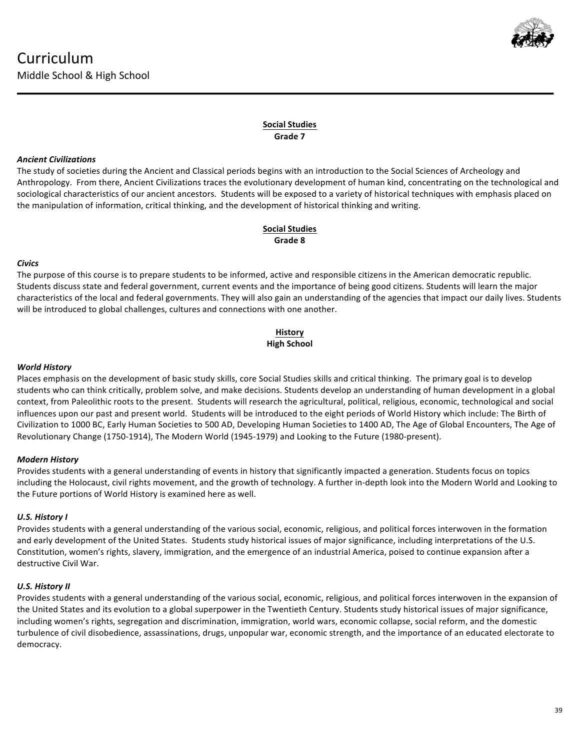

## **Social Studies Grade 7**

## *Ancient Civilizations*

The study of societies during the Ancient and Classical periods begins with an introduction to the Social Sciences of Archeology and Anthropology. From there, Ancient Civilizations traces the evolutionary development of human kind, concentrating on the technological and sociological characteristics of our ancient ancestors. Students will be exposed to a variety of historical techniques with emphasis placed on the manipulation of information, critical thinking, and the development of historical thinking and writing.

## **Social Studies Grade 8**

## *Civics*

The purpose of this course is to prepare students to be informed, active and responsible citizens in the American democratic republic. Students discuss state and federal government, current events and the importance of being good citizens. Students will learn the major characteristics of the local and federal governments. They will also gain an understanding of the agencies that impact our daily lives. Students will be introduced to global challenges, cultures and connections with one another.

# **History High School**

## *World History*

Places emphasis on the development of basic study skills, core Social Studies skills and critical thinking. The primary goal is to develop students who can think critically, problem solve, and make decisions. Students develop an understanding of human development in a global context, from Paleolithic roots to the present. Students will research the agricultural, political, religious, economic, technological and social influences upon our past and present world. Students will be introduced to the eight periods of World History which include: The Birth of Civilization to 1000 BC, Early Human Societies to 500 AD, Developing Human Societies to 1400 AD, The Age of Global Encounters, The Age of Revolutionary Change (1750-1914), The Modern World (1945-1979) and Looking to the Future (1980-present).

# *Modern History*

Provides students with a general understanding of events in history that significantly impacted a generation. Students focus on topics including the Holocaust, civil rights movement, and the growth of technology. A further in-depth look into the Modern World and Looking to the Future portions of World History is examined here as well.

# *U.S. History I*

Provides students with a general understanding of the various social, economic, religious, and political forces interwoven in the formation and early development of the United States. Students study historical issues of major significance, including interpretations of the U.S. Constitution, women's rights, slavery, immigration, and the emergence of an industrial America, poised to continue expansion after a destructive Civil War.

# *U.S. History II*

Provides students with a general understanding of the various social, economic, religious, and political forces interwoven in the expansion of the United States and its evolution to a global superpower in the Twentieth Century. Students study historical issues of major significance, including women's rights, segregation and discrimination, immigration, world wars, economic collapse, social reform, and the domestic turbulence of civil disobedience, assassinations, drugs, unpopular war, economic strength, and the importance of an educated electorate to democracy.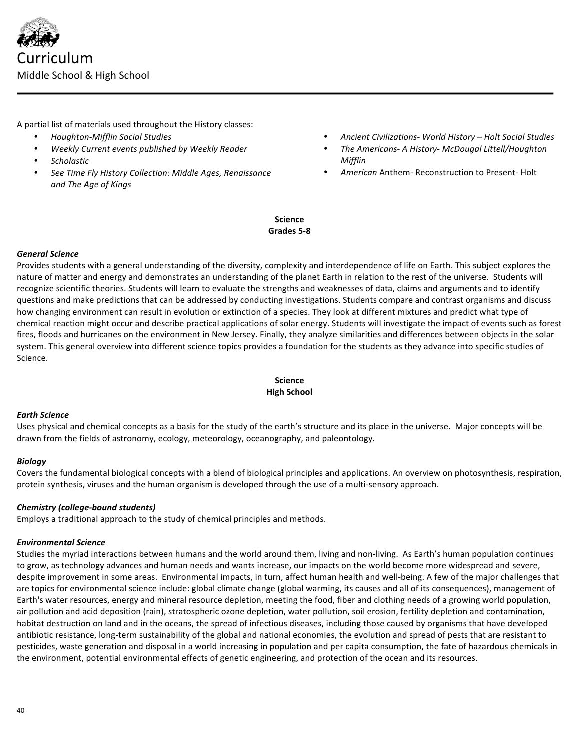

A partial list of materials used throughout the History classes:

- *Houghton-Mifflin Social Studies*
- *Weekly Current events published by Weekly Reader*
- Scholastic
- See Time Fly History Collection: Middle Ages, Renaissance and The Age of Kings
- *Ancient Civilizations- World History – Holt Social Studies*
- *The Americans- A History- McDougal Littell/Houghton Mifflin*
- American Anthem- Reconstruction to Present- Holt

## **Science** Grades 5-8

### *General Science*

Provides students with a general understanding of the diversity, complexity and interdependence of life on Earth. This subject explores the nature of matter and energy and demonstrates an understanding of the planet Earth in relation to the rest of the universe. Students will recognize scientific theories. Students will learn to evaluate the strengths and weaknesses of data, claims and arguments and to identify questions and make predictions that can be addressed by conducting investigations. Students compare and contrast organisms and discuss how changing environment can result in evolution or extinction of a species. They look at different mixtures and predict what type of chemical reaction might occur and describe practical applications of solar energy. Students will investigate the impact of events such as forest fires, floods and hurricanes on the environment in New Jersey. Finally, they analyze similarities and differences between objects in the solar system. This general overview into different science topics provides a foundation for the students as they advance into specific studies of Science.

## **Science High School**

#### *Earth Science*

Uses physical and chemical concepts as a basis for the study of the earth's structure and its place in the universe. Major concepts will be drawn from the fields of astronomy, ecology, meteorology, oceanography, and paleontology.

#### *Biology*

Covers the fundamental biological concepts with a blend of biological principles and applications. An overview on photosynthesis, respiration, protein synthesis, viruses and the human organism is developed through the use of a multi-sensory approach.

## *Chemistry (college-bound students)*

Employs a traditional approach to the study of chemical principles and methods.

#### *Environmental Science*

Studies the myriad interactions between humans and the world around them, living and non-living. As Earth's human population continues to grow, as technology advances and human needs and wants increase, our impacts on the world become more widespread and severe, despite improvement in some areas. Environmental impacts, in turn, affect human health and well-being. A few of the major challenges that are topics for environmental science include: global climate change (global warming, its causes and all of its consequences), management of Earth's water resources, energy and mineral resource depletion, meeting the food, fiber and clothing needs of a growing world population, air pollution and acid deposition (rain), stratospheric ozone depletion, water pollution, soil erosion, fertility depletion and contamination, habitat destruction on land and in the oceans, the spread of infectious diseases, including those caused by organisms that have developed antibiotic resistance, long-term sustainability of the global and national economies, the evolution and spread of pests that are resistant to pesticides, waste generation and disposal in a world increasing in population and per capita consumption, the fate of hazardous chemicals in the environment, potential environmental effects of genetic engineering, and protection of the ocean and its resources.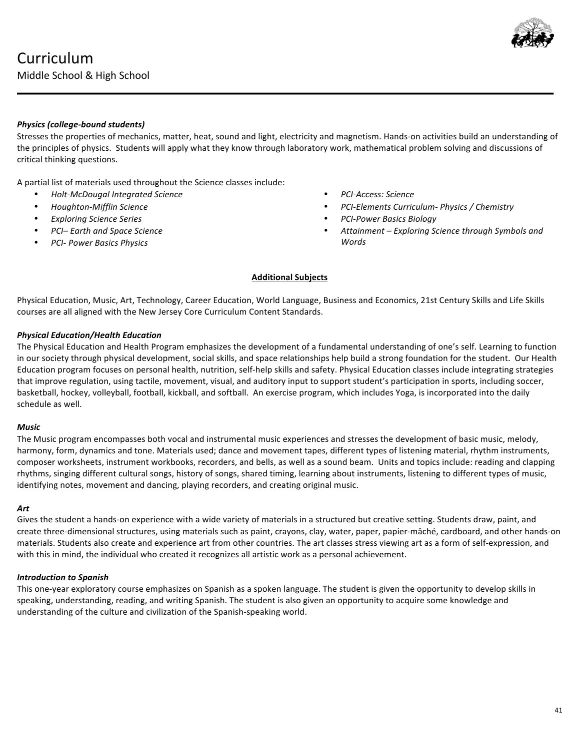

## *Physics (college-bound students)*

Stresses the properties of mechanics, matter, heat, sound and light, electricity and magnetism. Hands-on activities build an understanding of the principles of physics. Students will apply what they know through laboratory work, mathematical problem solving and discussions of critical thinking questions.

A partial list of materials used throughout the Science classes include:

- *Holt-McDougal Integrated Science*
- *Houghton-Mifflin Science*
- *Exploring Science Series*
- *PCI– Earth and Space Science*
- *PCI- Power Basics Physics*
- *PCI-Access: Science*
- *PCI-Elements Curriculum- Physics / Chemistry*
- *PCI-Power Basics Biology*
- Attainment Exploring Science through Symbols and *Words*

### **Additional Subjects**

Physical Education, Music, Art, Technology, Career Education, World Language, Business and Economics, 21st Century Skills and Life Skills courses are all aligned with the New Jersey Core Curriculum Content Standards.

### *Physical Education/Health Education*

The Physical Education and Health Program emphasizes the development of a fundamental understanding of one's self. Learning to function in our society through physical development, social skills, and space relationships help build a strong foundation for the student. Our Health Education program focuses on personal health, nutrition, self-help skills and safety. Physical Education classes include integrating strategies that improve regulation, using tactile, movement, visual, and auditory input to support student's participation in sports, including soccer, basketball, hockey, volleyball, football, kickball, and softball. An exercise program, which includes Yoga, is incorporated into the daily schedule as well.

#### *Music*

The Music program encompasses both vocal and instrumental music experiences and stresses the development of basic music, melody, harmony, form, dynamics and tone. Materials used; dance and movement tapes, different types of listening material, rhythm instruments, composer worksheets, instrument workbooks, recorders, and bells, as well as a sound beam. Units and topics include: reading and clapping rhythms, singing different cultural songs, history of songs, shared timing, learning about instruments, listening to different types of music, identifying notes, movement and dancing, playing recorders, and creating original music.

#### *Art*

Gives the student a hands-on experience with a wide variety of materials in a structured but creative setting. Students draw, paint, and create three-dimensional structures, using materials such as paint, crayons, clay, water, paper, papier-mâché, cardboard, and other hands-on materials. Students also create and experience art from other countries. The art classes stress viewing art as a form of self-expression, and with this in mind, the individual who created it recognizes all artistic work as a personal achievement.

#### *Introduction to Spanish*

This one-year exploratory course emphasizes on Spanish as a spoken language. The student is given the opportunity to develop skills in speaking, understanding, reading, and writing Spanish. The student is also given an opportunity to acquire some knowledge and understanding of the culture and civilization of the Spanish-speaking world.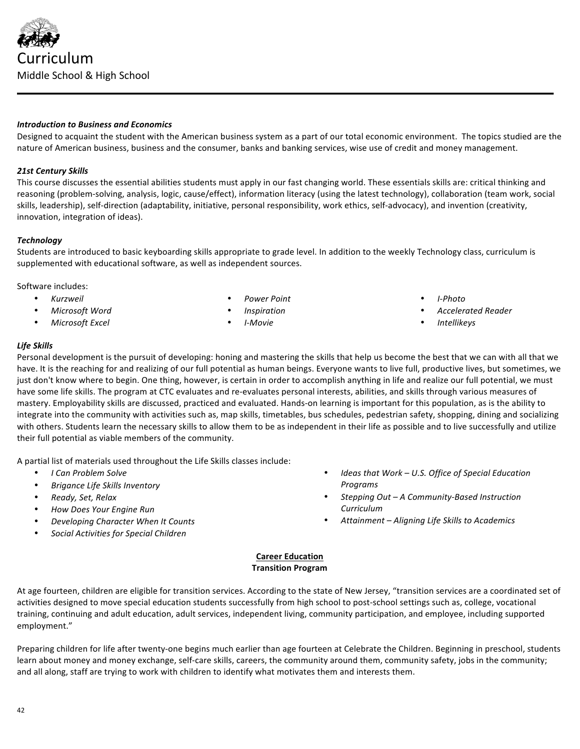• *Social Activities for Special Children* **Career Education Transition Program**

At age fourteen, children are eligible for transition services. According to the state of New Jersey, "transition services are a coordinated set of activities designed to move special education students successfully from high school to post-school settings such as, college, vocational training, continuing and adult education, adult services, independent living, community participation, and employee, including supported employment."

Preparing children for life after twenty-one begins much earlier than age fourteen at Celebrate the Children. Beginning in preschool, students learn about money and money exchange, self-care skills, careers, the community around them, community safety, jobs in the community; and all along, staff are trying to work with children to identify what motivates them and interests them.

# *Introduction to Business and Economics*

Designed to acquaint the student with the American business system as a part of our total economic environment. The topics studied are the nature of American business, business and the consumer, banks and banking services, wise use of credit and money management.

## *21st Century Skills*

This course discusses the essential abilities students must apply in our fast changing world. These essentials skills are: critical thinking and reasoning (problem-solving, analysis, logic, cause/effect), information literacy (using the latest technology), collaboration (team work, social skills, leadership), self-direction (adaptability, initiative, personal responsibility, work ethics, self-advocacy), and invention (creativity, innovation, integration of ideas).

## *Technology*

Students are introduced to basic keyboarding skills appropriate to grade level. In addition to the weekly Technology class, curriculum is supplemented with educational software, as well as independent sources.

Software includes:

- *Kurzweil*
- *Microsoft Word*
- *Microsoft Excel*
- *Power Point*
- *Inspiration*
- *I-Movie*
- *I-Photo*
- *Accelerated Reader*
- *Intellikeys*

## *Life Skills*

Personal development is the pursuit of developing: honing and mastering the skills that help us become the best that we can with all that we have. It is the reaching for and realizing of our full potential as human beings. Everyone wants to live full, productive lives, but sometimes, we just don't know where to begin. One thing, however, is certain in order to accomplish anything in life and realize our full potential, we must have some life skills. The program at CTC evaluates and re-evaluates personal interests, abilities, and skills through various measures of mastery. Employability skills are discussed, practiced and evaluated. Hands-on learning is important for this population, as is the ability to integrate into the community with activities such as, map skills, timetables, bus schedules, pedestrian safety, shopping, dining and socializing with others. Students learn the necessary skills to allow them to be as independent in their life as possible and to live successfully and utilize their full potential as viable members of the community.

A partial list of materials used throughout the Life Skills classes include:

- *I Can Problem Solve*
- *Brigance Life Skills Inventory*
- *Ready, Set, Relax*
- *How Does Your Engine Run*
- *Developing Character When It Counts*



- *Ideas that Work U.S. Office of Special Education* **Programs**
- *Stepping Out – A Community-Based Instruction Curriculum*
- *Attainment – Aligning Life Skills to Academics*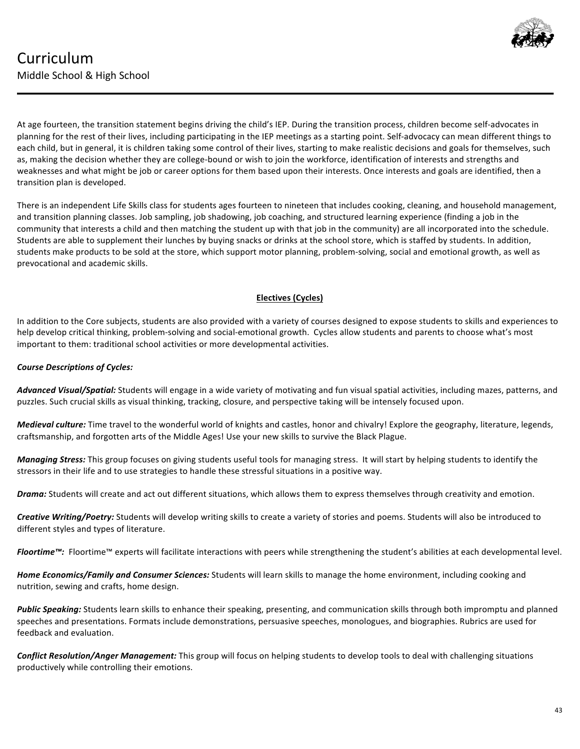

At age fourteen, the transition statement begins driving the child's IEP. During the transition process, children become self-advocates in planning for the rest of their lives, including participating in the IEP meetings as a starting point. Self-advocacy can mean different things to each child, but in general, it is children taking some control of their lives, starting to make realistic decisions and goals for themselves, such as, making the decision whether they are college-bound or wish to join the workforce, identification of interests and strengths and weaknesses and what might be job or career options for them based upon their interests. Once interests and goals are identified, then a transition plan is developed.

There is an independent Life Skills class for students ages fourteen to nineteen that includes cooking, cleaning, and household management, and transition planning classes. Job sampling, job shadowing, job coaching, and structured learning experience (finding a job in the community that interests a child and then matching the student up with that job in the community) are all incorporated into the schedule. Students are able to supplement their lunches by buying snacks or drinks at the school store, which is staffed by students. In addition, students make products to be sold at the store, which support motor planning, problem-solving, social and emotional growth, as well as prevocational and academic skills.

# **Electives (Cycles)**

In addition to the Core subjects, students are also provided with a variety of courses designed to expose students to skills and experiences to help develop critical thinking, problem-solving and social-emotional growth. Cycles allow students and parents to choose what's most important to them: traditional school activities or more developmental activities.

## *Course Descriptions of Cycles:*

Advanced Visual/Spatial: Students will engage in a wide variety of motivating and fun visual spatial activities, including mazes, patterns, and puzzles. Such crucial skills as visual thinking, tracking, closure, and perspective taking will be intensely focused upon.

*Medieval culture:* Time travel to the wonderful world of knights and castles, honor and chivalry! Explore the geography, literature, legends, craftsmanship, and forgotten arts of the Middle Ages! Use your new skills to survive the Black Plague.

**Managing Stress:** This group focuses on giving students useful tools for managing stress. It will start by helping students to identify the stressors in their life and to use strategies to handle these stressful situations in a positive way.

**Drama:** Students will create and act out different situations, which allows them to express themselves through creativity and emotion.

**Creative Writing/Poetry:** Students will develop writing skills to create a variety of stories and poems. Students will also be introduced to different styles and types of literature.

Floortime<sup>™</sup>: Floortime™ experts will facilitate interactions with peers while strengthening the student's abilities at each developmental level.

Home Economics/Family and Consumer Sciences: Students will learn skills to manage the home environment, including cooking and nutrition, sewing and crafts, home design.

**Public Speaking:** Students learn skills to enhance their speaking, presenting, and communication skills through both impromptu and planned speeches and presentations. Formats include demonstrations, persuasive speeches, monologues, and biographies. Rubrics are used for feedback and evaluation.

**Conflict Resolution/Anger Management:** This group will focus on helping students to develop tools to deal with challenging situations productively while controlling their emotions.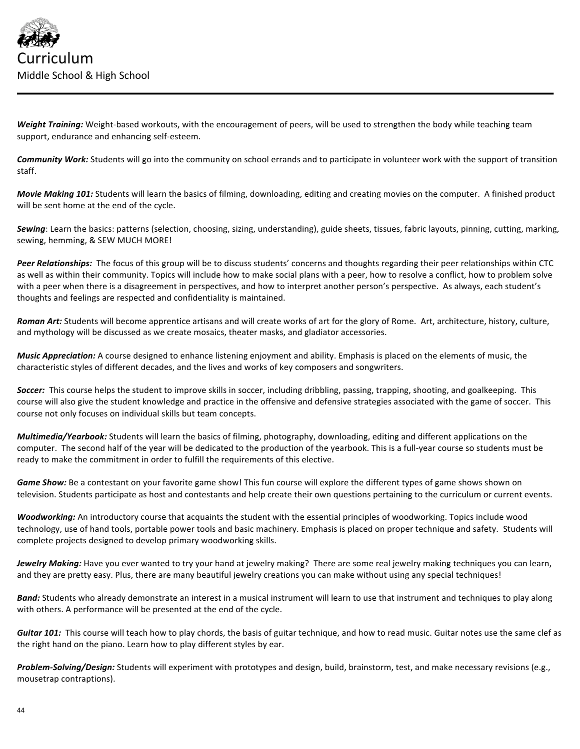

Weight Training: Weight-based workouts, with the encouragement of peers, will be used to strengthen the body while teaching team support, endurance and enhancing self-esteem.

**Community Work:** Students will go into the community on school errands and to participate in volunteer work with the support of transition staff.

*Movie Making 101:* Students will learn the basics of filming, downloading, editing and creating movies on the computer. A finished product will be sent home at the end of the cycle.

Sewing: Learn the basics: patterns (selection, choosing, sizing, understanding), guide sheets, tissues, fabric layouts, pinning, cutting, marking, sewing, hemming, & SEW MUCH MORE!

Peer Relationships: The focus of this group will be to discuss students' concerns and thoughts regarding their peer relationships within CTC as well as within their community. Topics will include how to make social plans with a peer, how to resolve a conflict, how to problem solve with a peer when there is a disagreement in perspectives, and how to interpret another person's perspective. As always, each student's thoughts and feelings are respected and confidentiality is maintained.

Roman Art: Students will become apprentice artisans and will create works of art for the glory of Rome. Art, architecture, history, culture, and mythology will be discussed as we create mosaics, theater masks, and gladiator accessories.

*Music Appreciation:* A course designed to enhance listening enjoyment and ability. Emphasis is placed on the elements of music, the characteristic styles of different decades, and the lives and works of key composers and songwriters.

Soccer: This course helps the student to improve skills in soccer, including dribbling, passing, trapping, shooting, and goalkeeping. This course will also give the student knowledge and practice in the offensive and defensive strategies associated with the game of soccer. This course not only focuses on individual skills but team concepts.

Multimedia/Yearbook: Students will learn the basics of filming, photography, downloading, editing and different applications on the computer. The second half of the year will be dedicated to the production of the yearbook. This is a full-year course so students must be ready to make the commitment in order to fulfill the requirements of this elective.

Game Show: Be a contestant on your favorite game show! This fun course will explore the different types of game shows shown on television. Students participate as host and contestants and help create their own questions pertaining to the curriculum or current events.

Woodworking: An introductory course that acquaints the student with the essential principles of woodworking. Topics include wood technology, use of hand tools, portable power tools and basic machinery. Emphasis is placed on proper technique and safety. Students will complete projects designed to develop primary woodworking skills.

*Jewelry Making:* Have you ever wanted to try your hand at jewelry making? There are some real jewelry making techniques you can learn, and they are pretty easy. Plus, there are many beautiful jewelry creations you can make without using any special techniques!

Band: Students who already demonstrate an interest in a musical instrument will learn to use that instrument and techniques to play along with others. A performance will be presented at the end of the cycle.

Guitar 101: This course will teach how to play chords, the basis of guitar technique, and how to read music. Guitar notes use the same clef as the right hand on the piano. Learn how to play different styles by ear.

Problem-Solving/Design: Students will experiment with prototypes and design, build, brainstorm, test, and make necessary revisions (e.g., mousetrap contraptions).